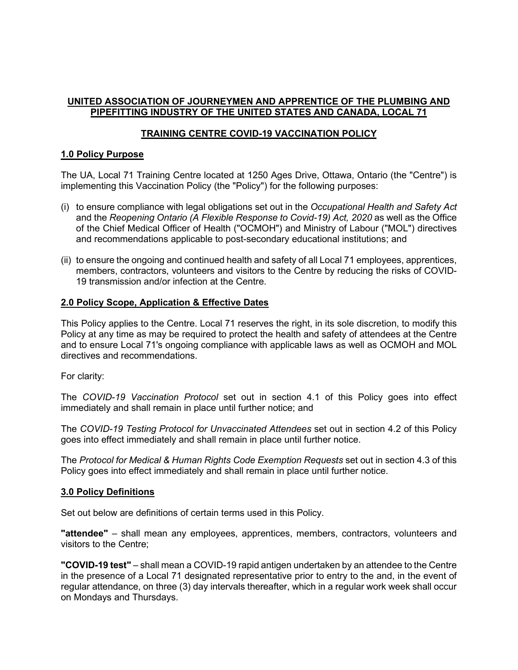## **UNITED ASSOCIATION OF JOURNEYMEN AND APPRENTICE OF THE PLUMBING AND PIPEFITTING INDUSTRY OF THE UNITED STATES AND CANADA, LOCAL 71**

# **TRAINING CENTRE COVID-19 VACCINATION POLICY**

### **1.0 Policy Purpose**

The UA, Local 71 Training Centre located at 1250 Ages Drive, Ottawa, Ontario (the "Centre") is implementing this Vaccination Policy (the "Policy") for the following purposes:

- (i) to ensure compliance with legal obligations set out in the *Occupational Health and Safety Act* and the *Reopening Ontario (A Flexible Response to Covid-19) Act, 2020* as well as the Office of the Chief Medical Officer of Health ("OCMOH") and Ministry of Labour ("MOL") directives and recommendations applicable to post-secondary educational institutions; and
- (ii) to ensure the ongoing and continued health and safety of all Local 71 employees, apprentices, members, contractors, volunteers and visitors to the Centre by reducing the risks of COVID-19 transmission and/or infection at the Centre.

# **2.0 Policy Scope, Application & Effective Dates**

This Policy applies to the Centre. Local 71 reserves the right, in its sole discretion, to modify this Policy at any time as may be required to protect the health and safety of attendees at the Centre and to ensure Local 71's ongoing compliance with applicable laws as well as OCMOH and MOL directives and recommendations.

For clarity:

The *COVID-19 Vaccination Protocol* set out in section 4.1 of this Policy goes into effect immediately and shall remain in place until further notice; and

The *COVID-19 Testing Protocol for Unvaccinated Attendees* set out in section 4.2 of this Policy goes into effect immediately and shall remain in place until further notice.

The *Protocol for Medical & Human Rights Code Exemption Requests* set out in section 4.3 of this Policy goes into effect immediately and shall remain in place until further notice.

### **3.0 Policy Definitions**

Set out below are definitions of certain terms used in this Policy.

**"attendee"** – shall mean any employees, apprentices, members, contractors, volunteers and visitors to the Centre;

**"COVID-19 test"** – shall mean a COVID-19 rapid antigen undertaken by an attendee to the Centre in the presence of a Local 71 designated representative prior to entry to the and, in the event of regular attendance, on three (3) day intervals thereafter, which in a regular work week shall occur on Mondays and Thursdays.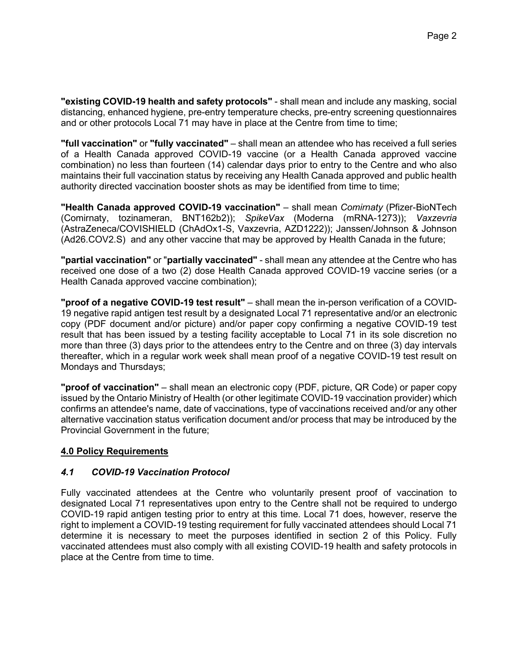**"existing COVID-19 health and safety protocols"** - shall mean and include any masking, social distancing, enhanced hygiene, pre-entry temperature checks, pre-entry screening questionnaires and or other protocols Local 71 may have in place at the Centre from time to time;

**"full vaccination"** or **"fully vaccinated"** – shall mean an attendee who has received a full series of a Health Canada approved COVID-19 vaccine (or a Health Canada approved vaccine combination) no less than fourteen (14) calendar days prior to entry to the Centre and who also maintains their full vaccination status by receiving any Health Canada approved and public health authority directed vaccination booster shots as may be identified from time to time;

**"Health Canada approved COVID-19 vaccination"** – shall mean *Comirnaty* (Pfizer-BioNTech (Comirnaty, tozinameran, BNT162b2)); *SpikeVax* (Moderna (mRNA-1273)); *Vaxzevria* (AstraZeneca/COVISHIELD (ChAdOx1-S, Vaxzevria, AZD1222)); Janssen/Johnson & Johnson (Ad26.COV2.S) and any other vaccine that may be approved by Health Canada in the future;

**"partial vaccination"** or "**partially vaccinated"** - shall mean any attendee at the Centre who has received one dose of a two (2) dose Health Canada approved COVID-19 vaccine series (or a Health Canada approved vaccine combination);

**"proof of a negative COVID-19 test result"** – shall mean the in-person verification of a COVID-19 negative rapid antigen test result by a designated Local 71 representative and/or an electronic copy (PDF document and/or picture) and/or paper copy confirming a negative COVID-19 test result that has been issued by a testing facility acceptable to Local 71 in its sole discretion no more than three (3) days prior to the attendees entry to the Centre and on three (3) day intervals thereafter, which in a regular work week shall mean proof of a negative COVID-19 test result on Mondays and Thursdays;

**"proof of vaccination"** – shall mean an electronic copy (PDF, picture, QR Code) or paper copy issued by the Ontario Ministry of Health (or other legitimate COVID-19 vaccination provider) which confirms an attendee's name, date of vaccinations, type of vaccinations received and/or any other alternative vaccination status verification document and/or process that may be introduced by the Provincial Government in the future;

# **4.0 Policy Requirements**

# *4.1 COVID-19 Vaccination Protocol*

Fully vaccinated attendees at the Centre who voluntarily present proof of vaccination to designated Local 71 representatives upon entry to the Centre shall not be required to undergo COVID-19 rapid antigen testing prior to entry at this time. Local 71 does, however, reserve the right to implement a COVID-19 testing requirement for fully vaccinated attendees should Local 71 determine it is necessary to meet the purposes identified in section 2 of this Policy. Fully vaccinated attendees must also comply with all existing COVID-19 health and safety protocols in place at the Centre from time to time.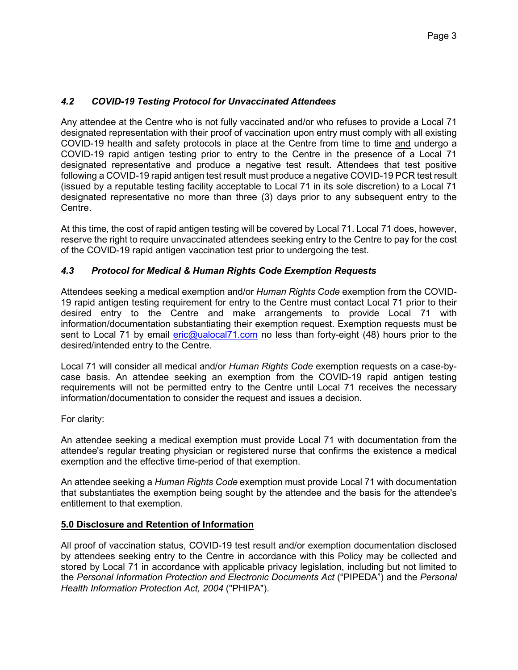# *4.2 COVID-19 Testing Protocol for Unvaccinated Attendees*

Any attendee at the Centre who is not fully vaccinated and/or who refuses to provide a Local 71 designated representation with their proof of vaccination upon entry must comply with all existing COVID-19 health and safety protocols in place at the Centre from time to time and undergo a COVID-19 rapid antigen testing prior to entry to the Centre in the presence of a Local 71 designated representative and produce a negative test result. Attendees that test positive following a COVID-19 rapid antigen test result must produce a negative COVID-19 PCR test result (issued by a reputable testing facility acceptable to Local 71 in its sole discretion) to a Local 71 designated representative no more than three (3) days prior to any subsequent entry to the Centre.

At this time, the cost of rapid antigen testing will be covered by Local 71. Local 71 does, however, reserve the right to require unvaccinated attendees seeking entry to the Centre to pay for the cost of the COVID-19 rapid antigen vaccination test prior to undergoing the test.

# *4.3 Protocol for Medical & Human Rights Code Exemption Requests*

Attendees seeking a medical exemption and/or *Human Rights Code* exemption from the COVID-19 rapid antigen testing requirement for entry to the Centre must contact Local 71 prior to their desired entry to the Centre and make arrangements to provide Local 71 with information/documentation substantiating their exemption request. Exemption requests must be sent to Local 71 by email [eric@ualocal71.com](mailto:eric@ualocal71.com) no less than forty-eight (48) hours prior to the desired/intended entry to the Centre.

Local 71 will consider all medical and/or *Human Rights Code* exemption requests on a case-bycase basis. An attendee seeking an exemption from the COVID-19 rapid antigen testing requirements will not be permitted entry to the Centre until Local 71 receives the necessary information/documentation to consider the request and issues a decision.

# For clarity:

An attendee seeking a medical exemption must provide Local 71 with documentation from the attendee's regular treating physician or registered nurse that confirms the existence a medical exemption and the effective time-period of that exemption.

An attendee seeking a *Human Rights Code* exemption must provide Local 71 with documentation that substantiates the exemption being sought by the attendee and the basis for the attendee's entitlement to that exemption.

# **5.0 Disclosure and Retention of Information**

All proof of vaccination status, COVID-19 test result and/or exemption documentation disclosed by attendees seeking entry to the Centre in accordance with this Policy may be collected and stored by Local 71 in accordance with applicable privacy legislation, including but not limited to the *Personal Information Protection and Electronic Documents Act* ("PIPEDA") and the *Personal Health Information Protection Act, 2004* ("PHIPA").